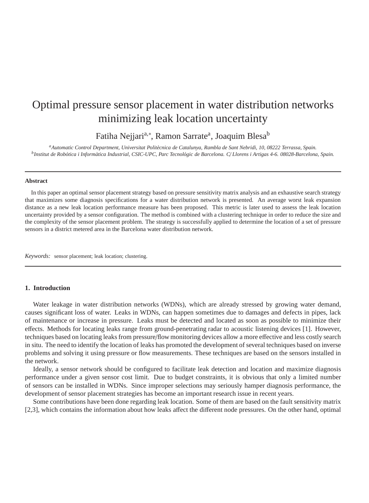# Optimal pressure sensor placement in water distribution networks minimizing leak location uncertainty

Fatiha Nejjari<sup>a,∗</sup>, Ramon Sarrate<sup>a</sup>, Joaquim Blesa<sup>b</sup>

*<sup>a</sup>Automatic Control Department, Universitat Polit`ecnica de Catalunya, Rambla de Sant Nebridi, 10, 08222 Terrassa, Spain. b Institut de Rob`otica i Inform`atica Industrial, CSIC-UPC, Parc Tecnol`ogic de Barcelona. C*/ *Llorens i Artigas 4-6. 08028-Barcelona, Spain.*

# **Abstract**

In this paper an optimal sensor placement strategy based on pressure sensitivity matrix analysis and an exhaustive search strategy that maximizes some diagnosis specifications for a water distribution network is presented. An average worst leak expansion distance as a new leak location performance measure has been proposed. This metric is later used to assess the leak location uncertainty provided by a sensor configuration. The method is combined with a clustering technique in order to reduce the size and the complexity of the sensor placement problem. The strategy is successfully applied to determine the location of a set of pressure sensors in a district metered area in the Barcelona water distribution network.

*Keywords:* sensor placement; leak location; clustering.

## **1. Introduction**

Water leakage in water distribution networks (WDNs), which are already stressed by growing water demand, causes significant loss of water. Leaks in WDNs, can happen sometimes due to damages and defects in pipes, lack of maintenance or increase in pressure. Leaks must be detected and located as soon as possible to minimize their effects. Methods for locating leaks range from ground-penetrating radar to acoustic listening devices [1]. However, techniques based on locating leaks from pressure/flow monitoring devices allow a more effective and less costly search in situ. The need to identify the location of leaks has promoted the development of several techniques based on inverse problems and solving it using pressure or flow measurements. These techniques are based on the sensors installed in the network.

Ideally, a sensor network should be configured to facilitate leak detection and location and maximize diagnosis performance under a given sensor cost limit. Due to budget constraints, it is obvious that only a limited number of sensors can be installed in WDNs. Since improper selections may seriously hamper diagnosis performance, the development of sensor placement strategies has become an important research issue in recent years.

Some contributions have been done regarding leak location. Some of them are based on the fault sensitivity matrix [2,3], which contains the information about how leaks affect the different node pressures. On the other hand, optimal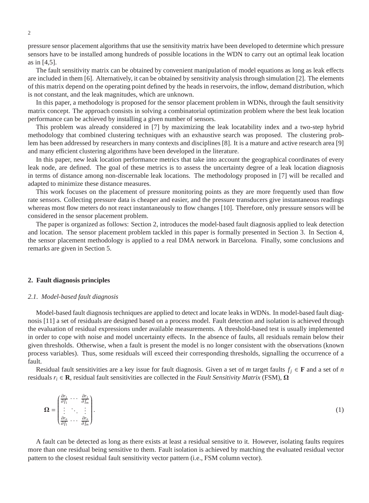pressure sensor placement algorithms that use the sensitivity matrix have been developed to determine which pressure sensors have to be installed among hundreds of possible locations in the WDN to carry out an optimal leak location as in [4,5].

The fault sensitivity matrix can be obtained by convenient manipulation of model equations as long as leak effects are included in them [6]. Alternatively, it can be obtained by sensitivity analysis through simulation [2]. The elements of this matrix depend on the operating point defined by the heads in reservoirs, the inflow, demand distribution, which is not constant, and the leak magnitudes, which are unknown.

In this paper, a methodology is proposed for the sensor placement problem in WDNs, through the fault sensitivity matrix concept. The approach consists in solving a combinatorial optimization problem where the best leak location performance can be achieved by installing a given number of sensors.

This problem was already considered in [7] by maximizing the leak locatability index and a two-step hybrid methodology that combined clustering techniques with an exhaustive search was proposed. The clustering problem has been addressed by researchers in many contexts and disciplines [8]. It is a mature and active research area [9] and many efficient clustering algorithms have been developed in the literature.

In this paper, new leak location performance metrics that take into account the geographical coordinates of every leak node, are defined. The goal of these metrics is to assess the uncertainty degree of a leak location diagnosis in terms of distance among non-discernable leak locations. The methodology proposed in [7] will be recalled and adapted to minimize these distance measures.

This work focuses on the placement of pressure monitoring points as they are more frequently used than flow rate sensors. Collecting pressure data is cheaper and easier, and the pressure transducers give instantaneous readings whereas most flow meters do not react instantaneously to flow changes [10]. Therefore, only pressure sensors will be considered in the sensor placement problem.

The paper is organized as follows: Section 2, introduces the model-based fault diagnosis applied to leak detection and location. The sensor placement problem tackled in this paper is formally presented in Section 3. In Section 4, the sensor placement methodology is applied to a real DMA network in Barcelona. Finally, some conclusions and remarks are given in Section 5.

#### **2. Fault diagnosis principles**

## *2.1. Model-based fault diagnosis*

Model-based fault diagnosis techniques are applied to detect and locate leaks in WDNs. In model-based fault diagnosis [11] a set of residuals are designed based on a process model. Fault detection and isolation is achieved through the evaluation of residual expressions under available measurements. A threshold-based test is usually implemented in order to cope with noise and model uncertainty effects. In the absence of faults, all residuals remain below their given thresholds. Otherwise, when a fault is present the model is no longer consistent with the observations (known process variables). Thus, some residuals will exceed their corresponding thresholds, signalling the occurrence of a fault.

Residual fault sensitivities are a key issue for fault diagnosis. Given a set of *m* target faults  $f_i \in \mathbf{F}$  and a set of *n* residuals *r<sup>i</sup>* ∈ **R**, residual fault sensitivities are collected in the *Fault Sensitivity Matrix* (FSM), Ω

$$
\mathbf{\Omega} = \begin{pmatrix} \frac{\partial r_1}{\partial f_1} & \cdots & \frac{\partial r_1}{\partial f_m} \\ \vdots & \ddots & \vdots \\ \frac{\partial r_n}{\partial f_1} & \cdots & \frac{\partial r_n}{\partial f_m} \end{pmatrix} .
$$
 (1)

A fault can be detected as long as there exists at least a residual sensitive to it. However, isolating faults requires more than one residual being sensitive to them. Fault isolation is achieved by matching the evaluated residual vector pattern to the closest residual fault sensitivity vector pattern (i.e., FSM column vector).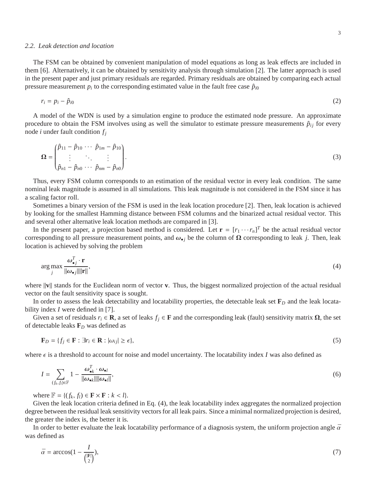## *2.2. Leak detection and location*

The FSM can be obtained by convenient manipulation of model equations as long as leak effects are included in them [6]. Alternatively, it can be obtained by sensitivity analysis through simulation [2]. The latter approach is used in the present paper and just primary residuals are regarded. Primary residuals are obtained by comparing each actual pressure measurement  $p_i$  to the corresponding estimated value in the fault free case  $\hat{p}_{i0}$ 

$$
r_i = p_i - \hat{p}_{i0} \tag{2}
$$

A model of the WDN is used by a simulation engine to produce the estimated node pressure. An approximate procedure to obtain the FSM involves using as well the simulator to estimate pressure measurements  $\hat{p}_{ij}$  for every node *i* under fault condition *f<sup>j</sup>*

$$
\mathbf{\Omega} = \begin{pmatrix} \hat{p}_{11} - \hat{p}_{10} & \cdots & \hat{p}_{1m} - \hat{p}_{10} \\ \vdots & \ddots & \vdots \\ \hat{p}_{n1} - \hat{p}_{n0} & \cdots & \hat{p}_{nm} - \hat{p}_{n0} \end{pmatrix} . \tag{3}
$$

Thus, every FSM column corresponds to an estimation of the residual vector in every leak condition. The same nominal leak magnitude is assumed in all simulations. This leak magnitude is not considered in the FSM since it has a scaling factor roll.

Sometimes a binary version of the FSM is used in the leak location procedure [2]. Then, leak location is achieved by looking for the smallest Hamming distance between FSM columns and the binarized actual residual vector. This and several other alternative leak location methods are compared in [3].

In the present paper, a projection based method is considered. Let  $\mathbf{r} = [r_1 \cdots r_n]^T$  be the actual residual vector corresponding to all pressure measurement points, and  $\omega_{\bullet j}$  be the column of  $\Omega$  corresponding to leak *j*. Then, leak location is achieved by solving the problem

$$
\arg \max_{j} \frac{\omega_{\bullet j}^T \cdot \mathbf{r}}{||\omega_{\bullet j}|| ||\mathbf{r}||},\tag{4}
$$

where  $\|\mathbf{v}\|$  stands for the Euclidean norm of vector **v**. Thus, the biggest normalized projection of the actual residual vector on the fault sensitivity space is sought.

In order to assess the leak detectability and locatability properties, the detectable leak set  $\mathbf{F}_D$  and the leak locatability index *I* were defined in [7].

Given a set of residuals  $r_i \in \mathbf{R}$ , a set of leaks  $f_i \in \mathbf{F}$  and the corresponding leak (fault) sensitivity matrix  $\Omega$ , the set of detectable leaks **F***<sup>D</sup>* was defined as

$$
\mathbf{F}_D = \{ f_j \in \mathbf{F} : \exists r_i \in \mathbf{R} : |\omega_{ij}| \ge \epsilon \},\tag{5}
$$

where  $\epsilon$  is a threshold to account for noise and model uncertainty. The locatability index *I* was also defined as

$$
I = \sum_{(f_k, f_l) \in \mathbb{F}} 1 - \frac{\omega_{\bullet k}^T \cdot \omega_{\bullet l}}{\|\omega_{\bullet k}\| \|\omega_{\bullet l}\|},\tag{6}
$$

where  $\mathbb{F} = \{ (f_k, f_l) \in \mathbf{F} \times \mathbf{F} : k < l \}.$ 

Given the leak location criteria defined in Eq. (4), the leak locatability index aggregates the normalized projection degree between the residual leak sensitivity vectors for all leak pairs. Since a minimal normalized projection is desired, the greater the index is, the better it is.

In order to better evaluate the leak locatability performance of a diagnosis system, the uniform projection angle  $\bar{\alpha}$ was defined as

$$
\bar{\alpha} = \arccos(1 - \frac{I}{\binom{|\mathbf{F}|}{2}}),\tag{7}
$$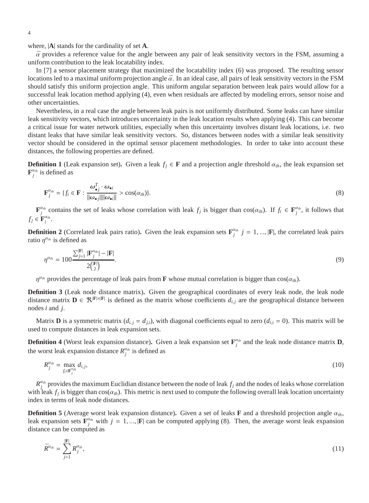where, |**A**| stands for the cardinality of set **A**.

 $\bar{\alpha}$  provides a reference value for the angle between any pair of leak sensitivity vectors in the FSM, assuming a uniform contribution to the leak locatability index.

In [7] a sensor placement strategy that maximized the locatability index (6) was proposed. The resulting sensor locations led to a maximal uniform projection angle  $\bar{\alpha}$ . In an ideal case, all pairs of leak sensitivity vectors in the FSM should satisfy this uniform projection angle. This uniform angular separation between leak pairs would allow for a successful leak location method applying (4), even when residuals are affected by modeling errors, sensor noise and other uncertainties.

Nevertheless, in a real case the angle between leak pairs is not uniformly distributed. Some leaks can have similar leak sensitivity vectors, which introduces uncertainty in the leak location results when applying (4). This can become a critical issue for water network utilities, especially when this uncertainty involves distant leak locations, i.e. two distant leaks that have similar leak sensitivity vectors. So, distances between nodes with a similar leak sensitivity vector should be considered in the optimal sensor placement methodologies. In order to take into account these distances, the following properties are defined.

**Definition 1** (Leak expansion set). Given a leak  $f_i \in \mathbf{F}$  and a projection angle threshold  $\alpha_{th}$ , the leak expansion set  $\mathbf{F}_j^{\alpha_{th}}$  is defined as

$$
\mathbf{F}_{j}^{\alpha_{th}} = \{f_i \in \mathbf{F} : \frac{\omega_{\bullet j}^T \cdot \omega_{\bullet i}}{\|\omega_{\bullet j}\| \|\omega_{\bullet j}\|} > \cos(\alpha_{th})\}.
$$
\n(8)

 $\mathbf{F}_j^{\alpha_{th}}$  contains the set of leaks whose correlation with leak  $f_j$  is bigger than  $\cos(\alpha_{th})$ . If  $f_i \in \mathbf{F}_j^{\alpha_{th}}$ , it follows that  $f_j \in \mathbf{F}_i^{\alpha_{th}}$ .

**Definition 2** (Correlated leak pairs ratio). Given the leak expansion sets  $\mathbf{F}_j^{\alpha_{th}}$   $j = 1, ..., |\mathbf{F}|$ , the correlated leak pairs ratio  $\eta^{\alpha_{th}}$  is defined as

$$
\eta^{\alpha_{th}} = 100 \frac{\sum_{j=1}^{|\mathbf{F}|} |\mathbf{F}_{j}^{\alpha_{th}}| - |\mathbf{F}|}{2 {|\mathbf{F}|} \choose 2}}.
$$
\n(9)

 $\eta^{\alpha_{th}}$  provides the percentage of leak pairs from **F** whose mutual correlation is bigger than  $cos(\alpha_{th})$ .

**Definition 3** (Leak node distance matrix)**.** Given the geographical coordinates of every leak node, the leak node distance matrix  $\mathbf{D} \in \mathbb{R}^{|\mathbf{F}| \times |\mathbf{F}|}$  is defined as the matrix whose coefficients  $d_{i,j}$  are the geographical distance between nodes *i* and *j*.

Matrix **D** is a symmetric matrix  $(d_{i,j} = d_{j,i})$ , with diagonal coefficients equal to zero  $(d_{i,i} = 0)$ . This matrix will be used to compute distances in leak expansion sets.

**Definition 4** (Worst leak expansion distance). Given a leak expansion set  $\mathbf{F}_j^{\alpha_{th}}$  and the leak node distance matrix **D**, the worst leak expansion distance  $R_j^{\alpha_{th}}$  is defined as

$$
R_j^{\alpha_{th}} = \max_{f_i \in \mathbf{F}_j^{\alpha_{th}}} d_{i,j},\tag{10}
$$

 $R_j^{\alpha_{th}}$  provides the maximum Euclidian distance between the node of leak  $f_j$  and the nodes of leaks whose correlation with leak  $f_j$  is bigger than  $cos(\alpha_{th})$ . This metric is next used to compute the following overall leak location uncertainty index in terms of leak node distances.

**Definition 5** (Average worst leak expansion distance)**.** Given a set of leaks **F** and a threshold projection angle α*th*, leak expansion sets  $\mathbf{F}_j^{\alpha_{th}}$  with  $j = 1, ..., |\mathbf{F}|$  can be computed applying (8). Then, the average worst leak expansion distance can be computed as

$$
\bar{R}^{\alpha_{th}} = \sum_{j=1}^{|\mathbf{F}|} R_j^{\alpha_{th}},\tag{11}
$$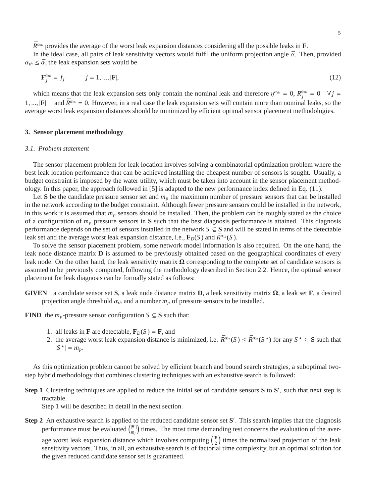$\bar{R}^{\alpha_{th}}$  provides the average of the worst leak expansion distances considering all the possible leaks in **F**.

In the ideal case, all pairs of leak sensitivity vectors would fulfil the uniform projection angle  $\bar{\alpha}$ . Then, provided  $\alpha_{th} \leq \bar{\alpha}$ , the leak expansion sets would be

$$
\mathbf{F}_j^{\alpha_{th}} = f_j \qquad j = 1, \dots, |\mathbf{F}|,\tag{12}
$$

which means that the leak expansion sets only contain the nominal leak and therefore  $\eta^{\alpha_{th}} = 0$ ,  $R_j^{\alpha_{th}} = 0$   $\forall j =$ 1, ...,  $|F|$  and  $\bar{R}^{\alpha_{th}} = 0$ . However, in a real case the leak expansion sets will contain more than nominal leaks, so the average worst leak expansion distances should be minimized by efficient optimal sensor placement methodologies.

## **3. Sensor placement methodology**

#### *3.1. Problem statement*

The sensor placement problem for leak location involves solving a combinatorial optimization problem where the best leak location performance that can be achieved installing the cheapest number of sensors is sought. Usually, a budget constraint is imposed by the water utility, which must be taken into account in the sensor placement methodology. In this paper, the approach followed in [5] is adapted to the new performance index defined in Eq. (11).

Let S be the candidate pressure sensor set and  $m_p$  the maximum number of pressure sensors that can be installed in the network according to the budget constraint. Although fewer pressure sensors could be installed in the network, in this work it is assumed that  $m_p$  sensors should be installed. Then, the problem can be roughly stated as the choice of a configuration of  $m_p$  pressure sensors in **S** such that the best diagnosis performance is attained. This diagnosis performance depends on the set of sensors installed in the network *S* ⊆ **S** and will be stated in terms of the detectable leak set and the average worst leak expansion distance, i.e.,  $\mathbf{F}_D(S)$  and  $\bar{R}^{\alpha_{th}}(S)$ .

To solve the sensor placement problem, some network model information is also required. On the one hand, the leak node distance matrix **D** is assumed to be previously obtained based on the geographical coordinates of every leak node. On the other hand, the leak sensitivity matrix  $\Omega$  corresponding to the complete set of candidate sensors is assumed to be previously computed, following the methodology described in Section 2.2. Hence, the optimal sensor placement for leak diagnosis can be formally stated as follows:

**GIVEN** a candidate sensor set **S**, a leak node distance matrix **D**, a leak sensitivity matrix Ω, a leak set **F**, a desired projection angle threshold  $\alpha_{th}$  and a number  $m_p$  of pressure sensors to be installed.

**FIND** the  $m_p$ -pressure sensor configuration  $S \subseteq S$  such that:

- 1. all leaks in **F** are detectable,  $\mathbf{F}_D(S) = \mathbf{F}$ , and
- 2. the average worst leak expansion distance is minimized, i.e.  $\bar{R}^{\alpha_{th}}(S) \leq \bar{R}^{\alpha_{th}}(S^{\star})$  for any  $S^{\star} \subseteq S$  such that  $|S^{\star}| = m_p.$

As this optimization problem cannot be solved by efficient branch and bound search strategies, a suboptimal twostep hybrid methodology that combines clustering techniques with an exhaustive search is followed:

**Step 1** Clustering techniques are applied to reduce the initial set of candidate sensors **S** to **S** ′ , such that next step is tractable.

Step 1 will be described in detail in the next section.

**Step 2** An exhaustive search is applied to the reduced candidate sensor set S'. This search implies that the diagnosis performance must be evaluated  $\binom{|S'|}{m}$  $\binom{|\mathbf{S}'|}{m_p}$  times. The most time demanding test concerns the evaluation of the average worst leak expansion distance which involves computing  $\binom{[F]}{2}$  times the normalized projection of the leak sensitivity vectors. Thus, in all, an exhaustive search is of factorial time complexity, but an optimal solution for the given reduced candidate sensor set is guaranteed.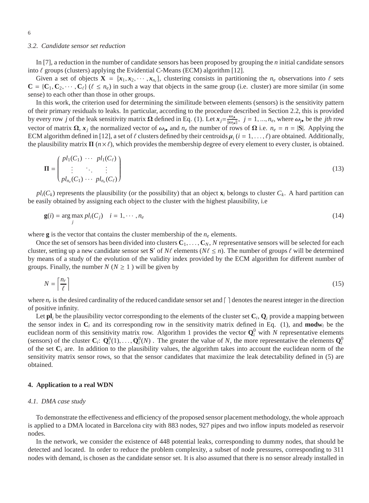#### *3.2. Candidate sensor set reduction*

In [7], a reduction in the number of candidate sensors has been proposed by grouping the *n* initial candidate sensors into  $\ell$  groups (clusters) applying the Evidential C-Means (ECM) algorithm [12].

Given a set of objects  $X = \{x_1, x_2, \dots, x_{n_e}\}\)$ , clustering consists in partitioning the  $n_e$  observations into  $\ell$  sets  $\mathbf{C} = \{C_1, C_2, \dots, C_\ell\}$  ( $\ell \leq n_e$ ) in such a way that objects in the same group (i.e. cluster) are more similar (in some sense) to each other than those in other groups.

In this work, the criterion used for determining the similitude between elements (sensors) is the sensitivity pattern of their primary residuals to leaks. In particular, according to the procedure described in Section 2.2, this is provided by every row *j* of the leak sensitivity matrix **Ω** defined in Eq. (1). Let  $x_j = \frac{\omega_{j*}}{||\omega_{j*}||}$ ,  $j = 1, ..., n_e$ , where  $\omega_{j*}$  be the *jth* row vector of matrix  $\Omega$ ,  $x_j$  the normalized vector of  $\omega_j$  and  $n_e$  the number of rows of  $\Omega$  i.e.  $n_e = n = |S|$ . Applying the ECM algorithm defined in [12], a set of  $\ell$  clusters defined by their centroids  $\mu_i$  ( $i = 1, ..., \ell$ ) are obtained. Additionally, the plausibility matrix  $\Pi$  ( $n \times \ell$ ), which provides the membership degree of every element to every cluster, is obtained.

$$
\mathbf{\Pi} = \begin{pmatrix} pl_1(C_1) & \cdots & pl_1(C_\ell) \\ \vdots & \ddots & \vdots \\ pl_{n_\ell}(C_1) & \cdots & pl_{n_\ell}(C_\ell) \end{pmatrix}
$$
 (13)

 $pl_i(C_k)$  represents the plausibility (or the possibility) that an object  $\mathbf{x}_i$  belongs to cluster  $C_k$ . A hard partition can be easily obtained by assigning each object to the cluster with the highest plausibility, i.e

$$
\mathbf{g}(i) = \arg \max_{j} pl_i(C_j) \quad i = 1, \cdots, n_e
$$
\n(14)

where **g** is the vector that contains the cluster membership of the  $n_e$  elements.

Once the set of sensors has been divided into clusters  $C_1, \ldots, C_N$ , N representative sensors will be selected for each cluster, setting up a new candidate sensor set **S**' of  $N\ell$  elements ( $N\ell \le n$ ). The number of groups  $\ell$  will be determined by means of a study of the evolution of the validity index provided by the ECM algorithm for different number of groups. Finally, the number  $N (N \ge 1)$  will be given by

$$
N = \left\lceil \frac{n_r}{\ell} \right\rceil \tag{15}
$$

where  $n_r$  is the desired cardinality of the reduced candidate sensor set and  $\lceil \cdot \rceil$  denotes the nearest integer in the direction of positive infinity.

Let  $\mathbf{pl}_i$  be the plausibility vector corresponding to the elements of the cluster set  $\mathbf{C}_i$ ,  $\mathbf{Q}_i$  provide a mapping between the sensor index in  $C_i$  and its corresponding row in the sensitivity matrix defined in Eq. (1), and **modw**<sub>*i*</sub> be the euclidean norm of this sensitivity matrix row. Algorithm 1 provides the vector  $\mathbf{Q}_i^0$  with *N* representative elements (sensors) of the cluster  $C_i: \mathbf{Q}_i^0(1), \ldots, \mathbf{Q}_i^0(N)$ . The greater the value of *N*, the more representative the elements  $\mathbf{Q}_i^0$ of the set  $C_i$  are. In addition to the plausibility values, the algorithm takes into account the euclidean norm of the sensitivity matrix sensor rows, so that the sensor candidates that maximize the leak detectability defined in (5) are obtained.

#### **4. Application to a real WDN**

#### *4.1. DMA case study*

To demonstrate the effectiveness and efficiency of the proposed sensor placement methodology, the whole approach is applied to a DMA located in Barcelona city with 883 nodes, 927 pipes and two inflow inputs modeled as reservoir nodes.

In the network, we consider the existence of 448 potential leaks, corresponding to dummy nodes, that should be detected and located. In order to reduce the problem complexity, a subset of node pressures, corresponding to 311 nodes with demand, is chosen as the candidate sensor set. It is also assumed that there is no sensor already installed in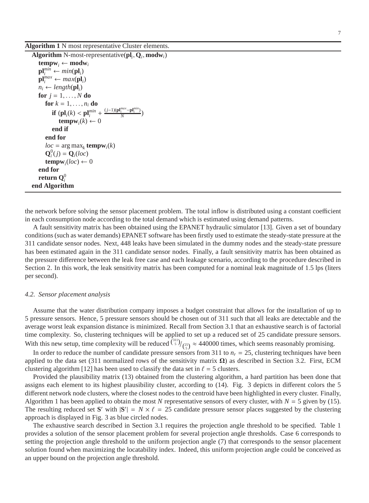**Algorithm 1** N most representative Cluster elements.

```
Algorithm N-most-representative(\mathbf{pl}_i, \mathbf{Q}_i, modw<sub>i</sub>)
tempw_i \leftarrow modw_i\mathbf{p} \mathbf{l}^{min}_i \leftarrow min(\mathbf{p} \mathbf{l}_i)\mathbf{p} \mathbf{l}_i^{max} \leftarrow max(\mathbf{p} \mathbf{l}_i)n_i \leftarrow length(\mathbf{pl}_i)for j = 1, \ldots, N do
     for k = 1, \ldots, n_i do
           if (\mathbf{pl}_i(k) < \mathbf{pl}_i^{min} + \frac{(j-1)(\mathbf{pl}_i^{max} - \mathbf{pl}_i^{min})}{N})
                                                                             )
                tempw<sub>i</sub>(k) \leftarrow 0end if
     end for
      loc = \arg \max_k \textbf{tempw}_i(k)\mathbf{Q}_i^0(j) = \mathbf{Q}_i(loc)tempw<sub>i</sub>(loc) \leftarrow 0
end for
 return \mathbf{Q}_i^0end Algorithm
```
the network before solving the sensor placement problem. The total inflow is distributed using a constant coefficient in each consumption node according to the total demand which is estimated using demand patterns.

A fault sensitivity matrix has been obtained using the EPANET hydraulic simulator [13]. Given a set of boundary conditions (such as water demands) EPANET software has been firstly used to estimate the steady-state pressure at the 311 candidate sensor nodes. Next, 448 leaks have been simulated in the dummy nodes and the steady-state pressure has been estimated again in the 311 candidate sensor nodes. Finally, a fault sensitivity matrix has been obtained as the pressure difference between the leak free case and each leakage scenario, according to the procedure described in Section 2. In this work, the leak sensitivity matrix has been computed for a nominal leak magnitude of 1.5 lps (liters per second).

## *4.2. Sensor placement analysis*

Assume that the water distribution company imposes a budget constraint that allows for the installation of up to 5 pressure sensors. Hence, 5 pressure sensors should be chosen out of 311 such that all leaks are detectable and the average worst leak expansion distance is minimized. Recall from Section 3.1 that an exhaustive search is of factorial time complexity. So, clustering techniques will be applied to set up a reduced set of 25 candidate pressure sensors. With this new setup, time complexity will be reduced  $\binom{311}{5}/\binom{25}{5} \approx 440000$  times, which seems reasonably promising.

In order to reduce the number of candidate pressure sensors from 311 to  $n<sub>r</sub> = 25$ , clustering techniques have been applied to the data set (311 normalized rows of the sensitivity matrix  $\Omega$ ) as described in Section 3.2. First, ECM clustering algorithm [12] has been used to classify the data set in  $\ell = 5$  clusters.

Provided the plausibility matrix (13) obtained from the clustering algorithm, a hard partition has been done that assigns each element to its highest plausibility cluster, according to (14). Fig. 3 depicts in different colors the 5 different network node clusters, where the closest nodes to the centroid have been highlighted in every cluster. Finally, Algorithm 1 has been applied to obtain the most *N* representative sensors of every cluster, with  $N = 5$  given by (15). The resulting reduced set **S**<sup>*'*</sup> with  $|S'| = N \times \ell = 25$  candidate pressure sensor places suggested by the clustering approach is displayed in Fig. 3 as blue circled nodes.

The exhaustive search described in Section 3.1 requires the projection angle threshold to be specified. Table 1 provides a solution of the sensor placement problem for several projection angle thresholds. Case 6 corresponds to setting the projection angle threshold to the uniform projection angle (7) that corresponds to the sensor placement solution found when maximizing the locatability index. Indeed, this uniform projection angle could be conceived as an upper bound on the projection angle threshold.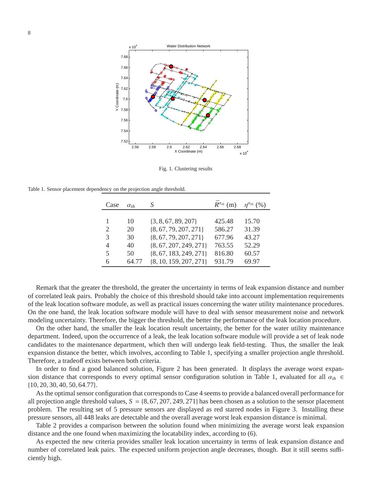

Fig. 1. Clustering results

Table 1. Sensor placement dependency on the projection angle threshold.

| Case                        | $\alpha_{th}$ | S                          | $\bar{R}^{\alpha_{th}}\left(\text{m}\right)$ | $n^{\alpha_{th}}$<br>(% ) |
|-----------------------------|---------------|----------------------------|----------------------------------------------|---------------------------|
|                             |               |                            |                                              |                           |
|                             | 10            | $\{3, 8, 67, 89, 207\}$    | 425.48                                       | 15.70                     |
| $\mathcal{D}_{\mathcal{L}}$ | 20            | $\{8, 67, 79, 207, 271\}$  | 586.27                                       | 31.39                     |
| 3                           | 30            | $\{8, 67, 79, 207, 271\}$  | 677.96                                       | 43.27                     |
| 4                           | 40            | $\{8, 67, 207, 249, 271\}$ | 763.55                                       | 52.29                     |
| 5                           | 50            | $\{8, 67, 183, 249, 271\}$ | 816.80                                       | 60.57                     |
| 6                           | 64.77         | $\{8, 10, 159, 207, 271\}$ | 931.79                                       | 69.97                     |

Remark that the greater the threshold, the greater the uncertainty in terms of leak expansion distance and number of correlated leak pairs. Probably the choice of this threshold should take into account implementation requirements of the leak location software module, as well as practical issues concerning the water utility maintenance procedures. On the one hand, the leak location software module will have to deal with sensor measurement noise and network modeling uncertainty. Therefore, the bigger the threshold, the better the performance of the leak location procedure.

On the other hand, the smaller the leak location result uncertainty, the better for the water utility maintenance department. Indeed, upon the occurrence of a leak, the leak location software module will provide a set of leak node candidates to the maintenance department, which then will undergo leak field-testing. Thus, the smaller the leak expansion distance the better, which involves, according to Table 1, specifying a smaller projection angle threshold. Therefore, a tradeoff exists between both criteria.

In order to find a good balanced solution, Figure 2 has been generated. It displays the average worst expansion distance that corresponds to every optimal sensor configuration solution in Table 1, evaluated for all α*th* ∈ {10, 20, 30, 40, 50, 64.77}.

As the optimal sensor configuration that corresponds to Case 4 seems to provide a balanced overall performance for all projection angle threshold values,  $S = \{8, 67, 207, 249, 271\}$  has been chosen as a solution to the sensor placement problem. The resulting set of 5 pressure sensors are displayed as red starred nodes in Figure 3. Installing these pressure sensors, all 448 leaks are detectable and the overall average worst leak expansion distance is minimal.

Table 2 provides a comparison between the solution found when minimizing the average worst leak expansion distance and the one found when maximizing the locatability index, according to (6).

As expected the new criteria provides smaller leak location uncertainty in terms of leak expansion distance and number of correlated leak pairs. The expected uniform projection angle decreases, though. But it still seems sufficiently high.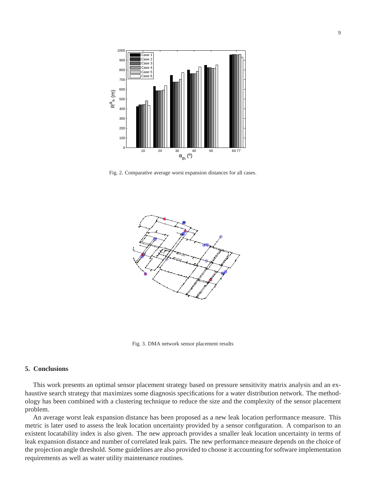

Fig. 2. Comparative average worst expansion distances for all cases.



Fig. 3. DMA network sensor placement results

# **5. Conclusions**

This work presents an optimal sensor placement strategy based on pressure sensitivity matrix analysis and an exhaustive search strategy that maximizes some diagnosis specifications for a water distribution network. The methodology has been combined with a clustering technique to reduce the size and the complexity of the sensor placement problem.

An average worst leak expansion distance has been proposed as a new leak location performance measure. This metric is later used to assess the leak location uncertainty provided by a sensor configuration. A comparison to an existent locatability index is also given. The new approach provides a smaller leak location uncertainty in terms of leak expansion distance and number of correlated leak pairs. The new performance measure depends on the choice of the projection angle threshold. Some guidelines are also provided to choose it accounting for software implementation requirements as well as water utility maintenance routines.